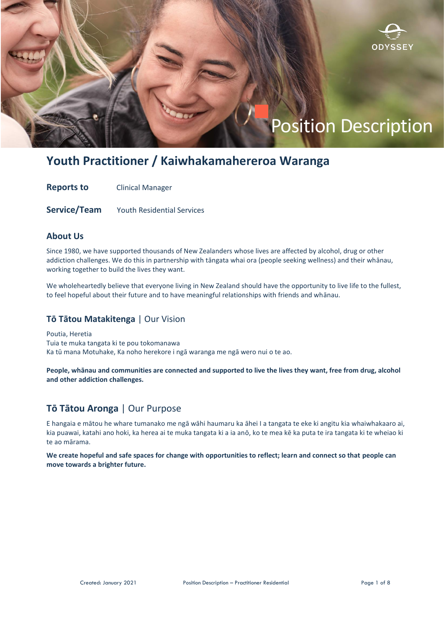

# **Youth Practitioner / Kaiwhakamahereroa Waranga**

**Reports to Clinical Manager** 

**Service/Team** Youth Residential Services

### **About Us**

Since 1980, we have supported thousands of New Zealanders whose lives are affected by alcohol, drug or other addiction challenges. We do this in partnership with tāngata whai ora (people seeking wellness) and their whānau, working together to build the lives they want.

We wholeheartedly believe that everyone living in New Zealand should have the opportunity to live life to the fullest, to feel hopeful about their future and to have meaningful relationships with friends and whānau.

### **Tō Tātou Matakitenga** | Our Vision

Poutia, Heretia Tuia te muka tangata ki te pou tokomanawa Ka tū mana Motuhake, Ka noho herekore i ngā waranga me ngā wero nui o te ao.

**People, whānau and communities are connected and supported to live the lives they want, free from drug, alcohol and other addiction challenges.**

## **Tō Tātou Aronga** | Our Purpose

E hangaia e mātou he whare tumanako me ngā wāhi haumaru ka āhei I a tangata te eke ki angitu kia whaiwhakaaro ai, kia puawai, katahi ano hoki, ka herea ai te muka tangata ki a ia anō, ko te mea kē ka puta te ira tangata ki te wheiao ki te ao mārama.

**We create hopeful and safe spaces for change with opportunities to reflect; learn and connect so that people can move towards a brighter future.**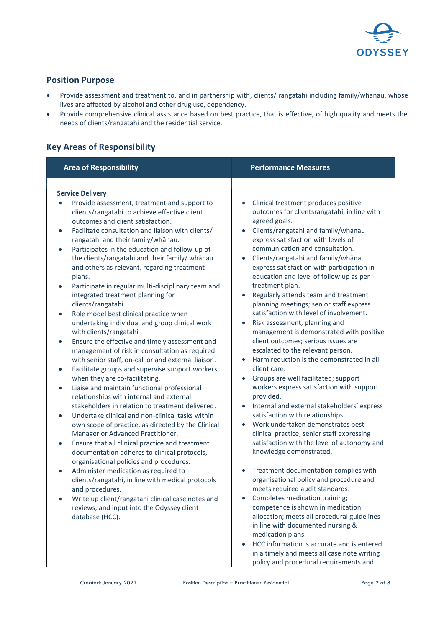

## **Position Purpose**

- Provide assessment and treatment to, and in partnership with, clients/ rangatahi including family/whānau, whose lives are affected by alcohol and other drug use, dependency.
- Provide comprehensive clinical assistance based on best practice, that is effective, of high quality and meets the needs of clients/rangatahi and the residential service.

## **Key Areas of Responsibility**

| <b>Area of Responsibility</b>                                                                                                                                                                                                                                                                                                                                                                                                                                                                                                                                                                                                                                                                                                                                                                                                                                                                                                                                                                                                                                                                                                                                                                                                                                                                                                                                                                                                                                                                                                                                                                                                                                                                                        | <b>Performance Measures</b>                                                                                                                                                                                                                                                                                                                                                                                                                                                                                                                                                                                                                                                                                                                                                                                                                                                                                                                                                                                                                                                                                                                                                                                                                                                                                                                                                                                                                                                                                                                                                                                          |
|----------------------------------------------------------------------------------------------------------------------------------------------------------------------------------------------------------------------------------------------------------------------------------------------------------------------------------------------------------------------------------------------------------------------------------------------------------------------------------------------------------------------------------------------------------------------------------------------------------------------------------------------------------------------------------------------------------------------------------------------------------------------------------------------------------------------------------------------------------------------------------------------------------------------------------------------------------------------------------------------------------------------------------------------------------------------------------------------------------------------------------------------------------------------------------------------------------------------------------------------------------------------------------------------------------------------------------------------------------------------------------------------------------------------------------------------------------------------------------------------------------------------------------------------------------------------------------------------------------------------------------------------------------------------------------------------------------------------|----------------------------------------------------------------------------------------------------------------------------------------------------------------------------------------------------------------------------------------------------------------------------------------------------------------------------------------------------------------------------------------------------------------------------------------------------------------------------------------------------------------------------------------------------------------------------------------------------------------------------------------------------------------------------------------------------------------------------------------------------------------------------------------------------------------------------------------------------------------------------------------------------------------------------------------------------------------------------------------------------------------------------------------------------------------------------------------------------------------------------------------------------------------------------------------------------------------------------------------------------------------------------------------------------------------------------------------------------------------------------------------------------------------------------------------------------------------------------------------------------------------------------------------------------------------------------------------------------------------------|
| <b>Service Delivery</b><br>Provide assessment, treatment and support to<br>clients/rangatahi to achieve effective client<br>outcomes and client satisfaction.<br>Facilitate consultation and liaison with clients/<br>$\bullet$<br>rangatahi and their family/whānau.<br>Participates in the education and follow-up of<br>$\bullet$<br>the clients/rangatahi and their family/ whanau<br>and others as relevant, regarding treatment<br>plans.<br>Participate in regular multi-disciplinary team and<br>$\bullet$<br>integrated treatment planning for<br>clients/rangatahi.<br>Role model best clinical practice when<br>$\bullet$<br>undertaking individual and group clinical work<br>with clients/rangatahi.<br>Ensure the effective and timely assessment and<br>$\bullet$<br>management of risk in consultation as required<br>with senior staff, on-call or and external liaison.<br>Facilitate groups and supervise support workers<br>$\bullet$<br>when they are co-facilitating.<br>Liaise and maintain functional professional<br>$\bullet$<br>relationships with internal and external<br>stakeholders in relation to treatment delivered.<br>Undertake clinical and non-clinical tasks within<br>$\bullet$<br>own scope of practice, as directed by the Clinical<br>Manager or Advanced Practitioner.<br>Ensure that all clinical practice and treatment<br>$\bullet$<br>documentation adheres to clinical protocols,<br>organisational policies and procedures.<br>Administer medication as required to<br>clients/rangatahi, in line with medical protocols<br>and procedures.<br>Write up client/rangatahi clinical case notes and<br>reviews, and input into the Odyssey client<br>database (HCC). | Clinical treatment produces positive<br>$\bullet$<br>outcomes for clientsrangatahi, in line with<br>agreed goals.<br>Clients/rangatahi and family/whanau<br>$\bullet$<br>express satisfaction with levels of<br>communication and consultation.<br>Clients/rangatahi and family/whānau<br>$\bullet$<br>express satisfaction with participation in<br>education and level of follow up as per<br>treatment plan.<br>Regularly attends team and treatment<br>$\bullet$<br>planning meetings; senior staff express<br>satisfaction with level of involvement.<br>Risk assessment, planning and<br>$\bullet$<br>management is demonstrated with positive<br>client outcomes; serious issues are<br>escalated to the relevant person.<br>Harm reduction is the demonstrated in all<br>client care.<br>Groups are well facilitated; support<br>$\bullet$<br>workers express satisfaction with support<br>provided.<br>Internal and external stakeholders' express<br>$\bullet$<br>satisfaction with relationships.<br>Work undertaken demonstrates best<br>$\bullet$<br>clinical practice; senior staff expressing<br>satisfaction with the level of autonomy and<br>knowledge demonstrated.<br>Treatment documentation complies with<br>$\bullet$<br>organisational policy and procedure and<br>meets required audit standards.<br>Completes medication training;<br>$\bullet$<br>competence is shown in medication<br>allocation; meets all procedural guidelines<br>in line with documented nursing &<br>medication plans.<br>HCC information is accurate and is entered<br>in a timely and meets all case note writing |

policy and procedural requirements and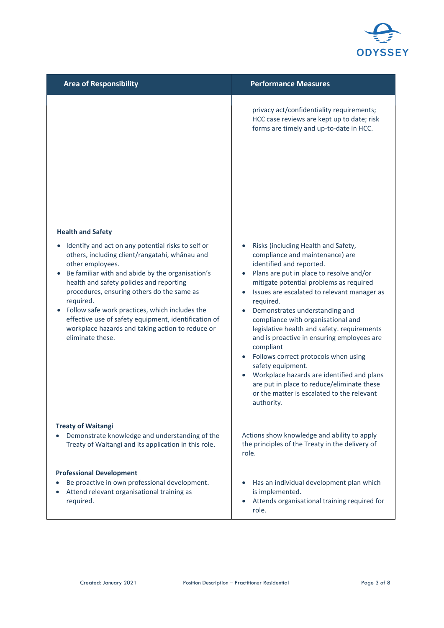

| <b>Area of Responsibility</b>                                                                                                                                                                                                                                                                                                                                                                                                                                                      | <b>Performance Measures</b>                                                                                                                                                                                                                                                                                                                                                                                                                                                                                                                                                                                                                                  |
|------------------------------------------------------------------------------------------------------------------------------------------------------------------------------------------------------------------------------------------------------------------------------------------------------------------------------------------------------------------------------------------------------------------------------------------------------------------------------------|--------------------------------------------------------------------------------------------------------------------------------------------------------------------------------------------------------------------------------------------------------------------------------------------------------------------------------------------------------------------------------------------------------------------------------------------------------------------------------------------------------------------------------------------------------------------------------------------------------------------------------------------------------------|
|                                                                                                                                                                                                                                                                                                                                                                                                                                                                                    | privacy act/confidentiality requirements;<br>HCC case reviews are kept up to date; risk<br>forms are timely and up-to-date in HCC.                                                                                                                                                                                                                                                                                                                                                                                                                                                                                                                           |
| <b>Health and Safety</b>                                                                                                                                                                                                                                                                                                                                                                                                                                                           |                                                                                                                                                                                                                                                                                                                                                                                                                                                                                                                                                                                                                                                              |
| Identify and act on any potential risks to self or<br>others, including client/rangatahi, whānau and<br>other employees.<br>Be familiar with and abide by the organisation's<br>health and safety policies and reporting<br>procedures, ensuring others do the same as<br>required.<br>Follow safe work practices, which includes the<br>$\bullet$<br>effective use of safety equipment, identification of<br>workplace hazards and taking action to reduce or<br>eliminate these. | Risks (including Health and Safety,<br>compliance and maintenance) are<br>identified and reported.<br>Plans are put in place to resolve and/or<br>mitigate potential problems as required<br>Issues are escalated to relevant manager as<br>required.<br>Demonstrates understanding and<br>compliance with organisational and<br>legislative health and safety. requirements<br>and is proactive in ensuring employees are<br>compliant<br>Follows correct protocols when using<br>safety equipment.<br>Workplace hazards are identified and plans<br>are put in place to reduce/eliminate these<br>or the matter is escalated to the relevant<br>authority. |
| <b>Treaty of Waitangi</b><br>Demonstrate knowledge and understanding of the<br>Treaty of Waitangi and its application in this role.                                                                                                                                                                                                                                                                                                                                                | Actions show knowledge and ability to apply<br>the principles of the Treaty in the delivery of<br>role.                                                                                                                                                                                                                                                                                                                                                                                                                                                                                                                                                      |
| <b>Professional Development</b><br>Be proactive in own professional development.<br>Attend relevant organisational training as<br>required.                                                                                                                                                                                                                                                                                                                                        | Has an individual development plan which<br>is implemented.<br>Attends organisational training required for<br>role.                                                                                                                                                                                                                                                                                                                                                                                                                                                                                                                                         |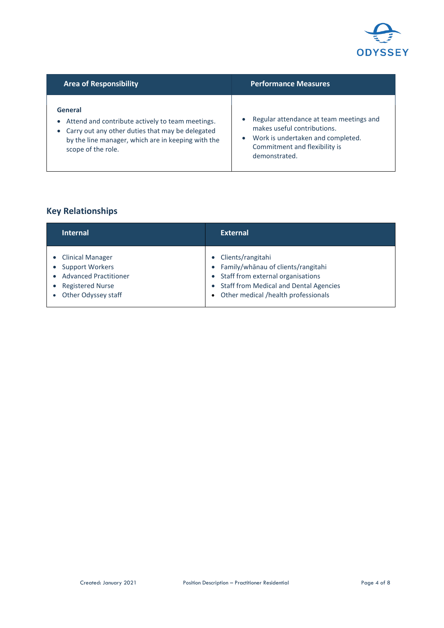

| <b>Area of Responsibility</b>                                                                                                                                                                              | <b>Performance Measures</b>                                                                                                                                   |
|------------------------------------------------------------------------------------------------------------------------------------------------------------------------------------------------------------|---------------------------------------------------------------------------------------------------------------------------------------------------------------|
| General<br>Attend and contribute actively to team meetings.<br>$\bullet$<br>• Carry out any other duties that may be delegated<br>by the line manager, which are in keeping with the<br>scope of the role. | Regular attendance at team meetings and<br>makes useful contributions.<br>Work is undertaken and completed.<br>Commitment and flexibility is<br>demonstrated. |

## **Key Relationships**

| <b>Internal</b>                                                                                                                                                  | <b>External</b>                                                                                                                                                                                         |
|------------------------------------------------------------------------------------------------------------------------------------------------------------------|---------------------------------------------------------------------------------------------------------------------------------------------------------------------------------------------------------|
| • Clinical Manager<br><b>Support Workers</b><br>$\bullet$<br><b>Advanced Practitioner</b><br>$\bullet$<br>• Registered Nurse<br>Other Odyssey staff<br>$\bullet$ | • Clients/rangitahi<br>• Family/whānau of clients/rangitahi<br>Staff from external organisations<br><b>Staff from Medical and Dental Agencies</b><br>$\bullet$<br>• Other medical /health professionals |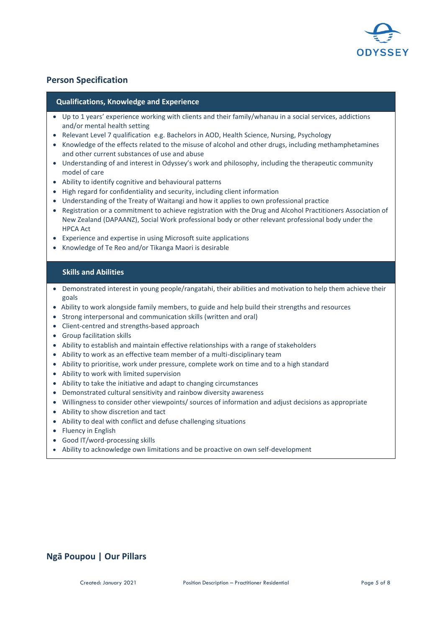

## **Person Specification**

#### **Qualifications, Knowledge and Experience**

- Up to 1 years' experience working with clients and their family/whanau in a social services, addictions and/or mental health setting
- Relevant Level 7 qualification e.g. Bachelors in AOD, Health Science, Nursing, Psychology
- Knowledge of the effects related to the misuse of alcohol and other drugs, including methamphetamines and other current substances of use and abuse
- Understanding of and interest in Odyssey's work and philosophy, including the therapeutic community model of care
- Ability to identify cognitive and behavioural patterns
- High regard for confidentiality and security, including client information
- Understanding of the Treaty of Waitangi and how it applies to own professional practice
- Registration or a commitment to achieve registration with the Drug and Alcohol Practitioners Association of New Zealand (DAPAANZ), Social Work professional body or other relevant professional body under the HPCA Act
- Experience and expertise in using Microsoft suite applications
- Knowledge of Te Reo and/or Tikanga Maori is desirable

#### **Skills and Abilities**

- Demonstrated interest in young people/rangatahi, their abilities and motivation to help them achieve their goals
- Ability to work alongside family members, to guide and help build their strengths and resources
- Strong interpersonal and communication skills (written and oral)
- Client-centred and strengths-based approach
- Group facilitation skills
- Ability to establish and maintain effective relationships with a range of stakeholders
- Ability to work as an effective team member of a multi-disciplinary team
- Ability to prioritise, work under pressure, complete work on time and to a high standard
- Ability to work with limited supervision
- Ability to take the initiative and adapt to changing circumstances
- Demonstrated cultural sensitivity and rainbow diversity awareness
- Willingness to consider other viewpoints/ sources of information and adjust decisions as appropriate
- Ability to show discretion and tact
- Ability to deal with conflict and defuse challenging situations
- Fluency in English
- Good IT/word-processing skills
- Ability to acknowledge own limitations and be proactive on own self-development

## **Ngā Poupou | Our Pillars**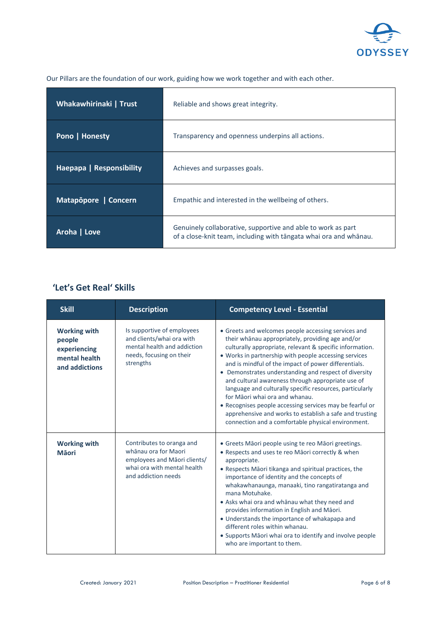

| Whakawhirinaki   Trust          | Reliable and shows great integrity.                                                                                               |
|---------------------------------|-----------------------------------------------------------------------------------------------------------------------------------|
| Pono   Honesty                  | Transparency and openness underpins all actions.                                                                                  |
| <b>Haepapa   Responsibility</b> | Achieves and surpasses goals.                                                                                                     |
| Matapopore   Concern            | Empathic and interested in the wellbeing of others.                                                                               |
| Aroha   Love                    | Genuinely collaborative, supportive and able to work as part<br>of a close-knit team, including with tangata whai ora and whanau. |

Our Pillars are the foundation of our work, guiding how we work together and with each other.

## **'Let's Get Real' Skills**

| <b>Skill</b>                                                                     | <b>Description</b>                                                                                                                      | <b>Competency Level - Essential</b>                                                                                                                                                                                                                                                                                                                                                                                                                                                                                                                                                                                                                                           |
|----------------------------------------------------------------------------------|-----------------------------------------------------------------------------------------------------------------------------------------|-------------------------------------------------------------------------------------------------------------------------------------------------------------------------------------------------------------------------------------------------------------------------------------------------------------------------------------------------------------------------------------------------------------------------------------------------------------------------------------------------------------------------------------------------------------------------------------------------------------------------------------------------------------------------------|
| <b>Working with</b><br>people<br>experiencing<br>mental health<br>and addictions | Is supportive of employees<br>and clients/whai ora with<br>mental health and addiction<br>needs, focusing on their<br>strengths         | • Greets and welcomes people accessing services and<br>their whanau appropriately, providing age and/or<br>culturally appropriate, relevant & specific information.<br>• Works in partnership with people accessing services<br>and is mindful of the impact of power differentials.<br>• Demonstrates understanding and respect of diversity<br>and cultural awareness through appropriate use of<br>language and culturally specific resources, particularly<br>for Māori whai ora and whanau.<br>• Recognises people accessing services may be fearful or<br>apprehensive and works to establish a safe and trusting<br>connection and a comfortable physical environment. |
| <b>Working with</b><br><b>M</b> aori                                             | Contributes to oranga and<br>whānau ora for Maori<br>employees and Māori clients/<br>whai ora with mental health<br>and addiction needs | • Greets Māori people using te reo Māori greetings.<br>• Respects and uses te reo Māori correctly & when<br>appropriate.<br>• Respects Māori tikanga and spiritual practices, the<br>importance of identity and the concepts of<br>whakawhanaunga, manaaki, tino rangatiratanga and<br>mana Motuhake.<br>• Asks whai ora and whānau what they need and<br>provides information in English and Māori.<br>• Understands the importance of whakapapa and<br>different roles within whanau.<br>• Supports Māori whai ora to identify and involve people<br>who are important to them.                                                                                             |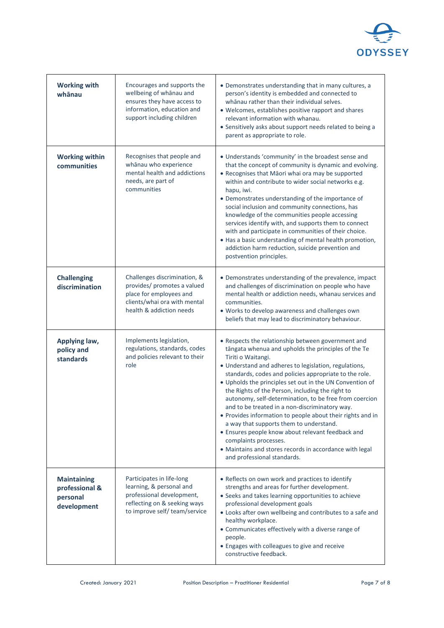

| <b>Working with</b><br>whānau                                   | Encourages and supports the<br>wellbeing of whanau and<br>ensures they have access to<br>information, education and<br>support including children  | • Demonstrates understanding that in many cultures, a<br>person's identity is embedded and connected to<br>whanau rather than their individual selves.<br>• Welcomes, establishes positive rapport and shares<br>relevant information with whanau.<br>• Sensitively asks about support needs related to being a<br>parent as appropriate to role.                                                                                                                                                                                                                                                                                                                                                                                                               |
|-----------------------------------------------------------------|----------------------------------------------------------------------------------------------------------------------------------------------------|-----------------------------------------------------------------------------------------------------------------------------------------------------------------------------------------------------------------------------------------------------------------------------------------------------------------------------------------------------------------------------------------------------------------------------------------------------------------------------------------------------------------------------------------------------------------------------------------------------------------------------------------------------------------------------------------------------------------------------------------------------------------|
| <b>Working within</b><br>communities                            | Recognises that people and<br>whānau who experience<br>mental health and addictions<br>needs, are part of<br>communities                           | • Understands 'community' in the broadest sense and<br>that the concept of community is dynamic and evolving.<br>• Recognises that Māori whai ora may be supported<br>within and contribute to wider social networks e.g.<br>hapu, iwi.<br>• Demonstrates understanding of the importance of<br>social inclusion and community connections, has<br>knowledge of the communities people accessing<br>services identify with, and supports them to connect<br>with and participate in communities of their choice.<br>• Has a basic understanding of mental health promotion,<br>addiction harm reduction, suicide prevention and<br>postvention principles.                                                                                                      |
| <b>Challenging</b><br>discrimination                            | Challenges discrimination, &<br>provides/ promotes a valued<br>place for employees and<br>clients/whai ora with mental<br>health & addiction needs | • Demonstrates understanding of the prevalence, impact<br>and challenges of discrimination on people who have<br>mental health or addiction needs, whanau services and<br>communities.<br>. Works to develop awareness and challenges own<br>beliefs that may lead to discriminatory behaviour.                                                                                                                                                                                                                                                                                                                                                                                                                                                                 |
| Applying law,<br>policy and<br>standards                        | Implements legislation,<br>regulations, standards, codes<br>and policies relevant to their<br>role                                                 | • Respects the relationship between government and<br>tāngata whenua and upholds the principles of the Te<br>Tiriti o Waitangi.<br>• Understand and adheres to legislation, regulations,<br>standards, codes and policies appropriate to the role.<br>. Upholds the principles set out in the UN Convention of<br>the Rights of the Person, including the right to<br>autonomy, self-determination, to be free from coercion<br>and to be treated in a non-discriminatory way.<br>• Provides information to people about their rights and in<br>a way that supports them to understand.<br>• Ensures people know about relevant feedback and<br>complaints processes.<br>• Maintains and stores records in accordance with legal<br>and professional standards. |
| <b>Maintaining</b><br>professional &<br>personal<br>development | Participates in life-long<br>learning, & personal and<br>professional development,<br>reflecting on & seeking ways<br>to improve self/team/service | • Reflects on own work and practices to identify<br>strengths and areas for further development.<br>• Seeks and takes learning opportunities to achieve<br>professional development goals<br>• Looks after own wellbeing and contributes to a safe and<br>healthy workplace.<br>• Communicates effectively with a diverse range of<br>people.<br>• Engages with colleagues to give and receive<br>constructive feedback.                                                                                                                                                                                                                                                                                                                                        |